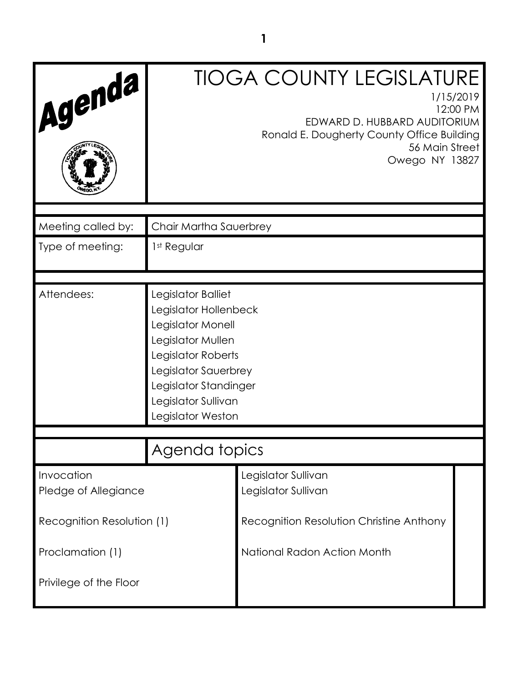| Agenda                             |                                                                                                                                                                                                          | <b>TIOGA COUNTY LEGISLATURE</b><br>1/15/2019<br>12:00 PM<br>EDWARD D. HUBBARD AUDITORIUM<br>Ronald E. Dougherty County Office Building<br>56 Main Street<br>Owego NY 13827 |  |
|------------------------------------|----------------------------------------------------------------------------------------------------------------------------------------------------------------------------------------------------------|----------------------------------------------------------------------------------------------------------------------------------------------------------------------------|--|
| Meeting called by:                 | Chair Martha Sauerbrey                                                                                                                                                                                   |                                                                                                                                                                            |  |
| Type of meeting:                   | 1st Regular                                                                                                                                                                                              |                                                                                                                                                                            |  |
| Attendees:                         | Legislator Balliet<br>Legislator Hollenbeck<br>Legislator Monell<br>Legislator Mullen<br>Legislator Roberts<br>Legislator Sauerbrey<br>Legislator Standinger<br>Legislator Sullivan<br>Legislator Weston |                                                                                                                                                                            |  |
|                                    | Agenda topics                                                                                                                                                                                            |                                                                                                                                                                            |  |
| Invocation<br>Pledge of Allegiance |                                                                                                                                                                                                          | Legislator Sullivan<br>Legislator Sullivan                                                                                                                                 |  |
| Recognition Resolution (1)         | Recognition Resolution Christine Anthony                                                                                                                                                                 |                                                                                                                                                                            |  |
| Proclamation (1)                   |                                                                                                                                                                                                          | National Radon Action Month                                                                                                                                                |  |
| Privilege of the Floor             |                                                                                                                                                                                                          |                                                                                                                                                                            |  |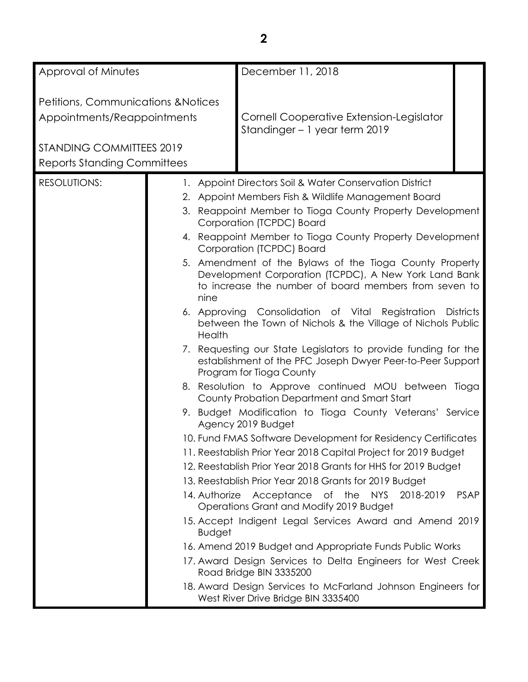| Approval of Minutes                            |  |               | December 11, 2018                                                                                                                                                         |             |
|------------------------------------------------|--|---------------|---------------------------------------------------------------------------------------------------------------------------------------------------------------------------|-------------|
|                                                |  |               |                                                                                                                                                                           |             |
| <b>Petitions, Communications &amp; Notices</b> |  |               |                                                                                                                                                                           |             |
| Appointments/Reappointments                    |  |               | Cornell Cooperative Extension-Legislator                                                                                                                                  |             |
|                                                |  |               | Standinger - 1 year term 2019                                                                                                                                             |             |
| STANDING COMMITTEES 2019                       |  |               |                                                                                                                                                                           |             |
| <b>Reports Standing Committees</b>             |  |               |                                                                                                                                                                           |             |
| <b>RESOLUTIONS:</b>                            |  |               | 1. Appoint Directors Soil & Water Conservation District                                                                                                                   |             |
|                                                |  |               | 2. Appoint Members Fish & Wildlife Management Board                                                                                                                       |             |
|                                                |  |               | 3. Reappoint Member to Tioga County Property Development<br>Corporation (TCPDC) Board                                                                                     |             |
|                                                |  |               | 4. Reappoint Member to Tioga County Property Development<br>Corporation (TCPDC) Board                                                                                     |             |
|                                                |  | nine          | 5. Amendment of the Bylaws of the Tioga County Property<br>Development Corporation (TCPDC), A New York Land Bank<br>to increase the number of board members from seven to |             |
|                                                |  | Health        | 6. Approving Consolidation of Vital Registration Districts<br>between the Town of Nichols & the Village of Nichols Public                                                 |             |
|                                                |  |               | 7. Requesting our State Legislators to provide funding for the<br>establishment of the PFC Joseph Dwyer Peer-to-Peer Support<br>Program for Tioga County                  |             |
|                                                |  |               | 8. Resolution to Approve continued MOU between Tioga<br>County Probation Department and Smart Start                                                                       |             |
|                                                |  |               | 9. Budget Modification to Tioga County Veterans' Service<br>Agency 2019 Budget                                                                                            |             |
|                                                |  |               | 10. Fund FMAS Software Development for Residency Certificates                                                                                                             |             |
|                                                |  |               | 11. Reestablish Prior Year 2018 Capital Project for 2019 Budget                                                                                                           |             |
|                                                |  |               | 12. Reestablish Prior Year 2018 Grants for HHS for 2019 Budget                                                                                                            |             |
|                                                |  |               | 13. Reestablish Prior Year 2018 Grants for 2019 Budget                                                                                                                    |             |
|                                                |  |               | 14. Authorize Acceptance of the<br>NYS 2018-2019<br>Operations Grant and Modify 2019 Budget                                                                               | <b>PSAP</b> |
|                                                |  | <b>Budget</b> | 15. Accept Indigent Legal Services Award and Amend 2019                                                                                                                   |             |
|                                                |  |               | 16. Amend 2019 Budget and Appropriate Funds Public Works                                                                                                                  |             |
|                                                |  |               | 17. Award Design Services to Delta Engineers for West Creek<br>Road Bridge BIN 3335200                                                                                    |             |
|                                                |  |               | 18. Award Design Services to McFarland Johnson Engineers for<br>West River Drive Bridge BIN 3335400                                                                       |             |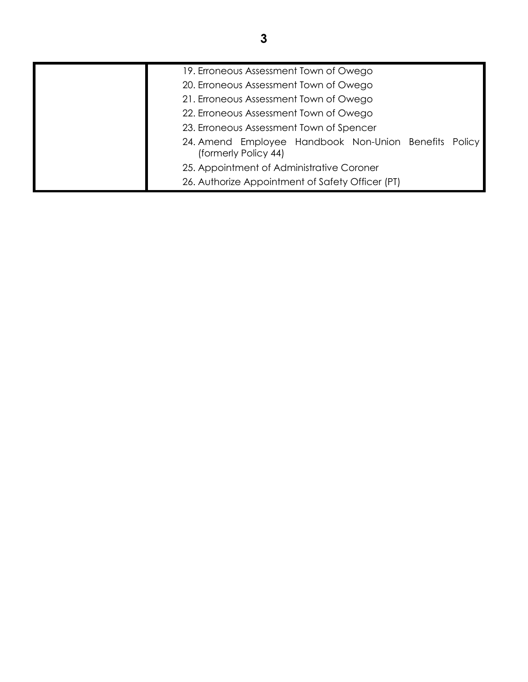| 19. Erroneous Assessment Town of Owego                                        |  |  |
|-------------------------------------------------------------------------------|--|--|
| 20. Erroneous Assessment Town of Owego                                        |  |  |
| 21. Erroneous Assessment Town of Owego                                        |  |  |
| 22. Erroneous Assessment Town of Owego                                        |  |  |
| 23. Erroneous Assessment Town of Spencer                                      |  |  |
| 24. Amend Employee Handbook Non-Union Benefits Policy<br>(formerly Policy 44) |  |  |
| 25. Appointment of Administrative Coroner                                     |  |  |
| 26. Authorize Appointment of Safety Officer (PT)                              |  |  |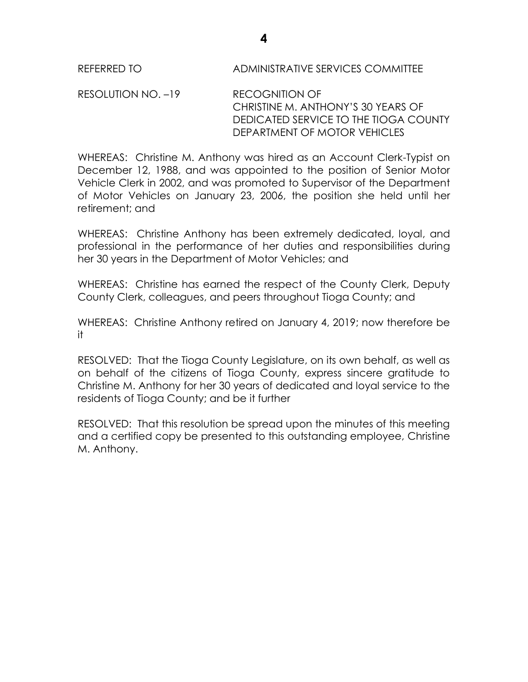RESOLUTION NO. –19 RECOGNITION OF CHRISTINE M. ANTHONY'S 30 YEARS OF DEDICATED SERVICE TO THE TIOGA COUNTY DEPARTMENT OF MOTOR VEHICLES

WHEREAS: Christine M. Anthony was hired as an Account Clerk-Typist on December 12, 1988, and was appointed to the position of Senior Motor Vehicle Clerk in 2002, and was promoted to Supervisor of the Department of Motor Vehicles on January 23, 2006, the position she held until her retirement; and

WHEREAS: Christine Anthony has been extremely dedicated, loyal, and professional in the performance of her duties and responsibilities during her 30 years in the Department of Motor Vehicles; and

WHEREAS: Christine has earned the respect of the County Clerk, Deputy County Clerk, colleagues, and peers throughout Tioga County; and

WHEREAS: Christine Anthony retired on January 4, 2019; now therefore be it

RESOLVED: That the Tioga County Legislature, on its own behalf, as well as on behalf of the citizens of Tioga County, express sincere gratitude to Christine M. Anthony for her 30 years of dedicated and loyal service to the residents of Tioga County; and be it further

RESOLVED: That this resolution be spread upon the minutes of this meeting and a certified copy be presented to this outstanding employee, Christine M. Anthony.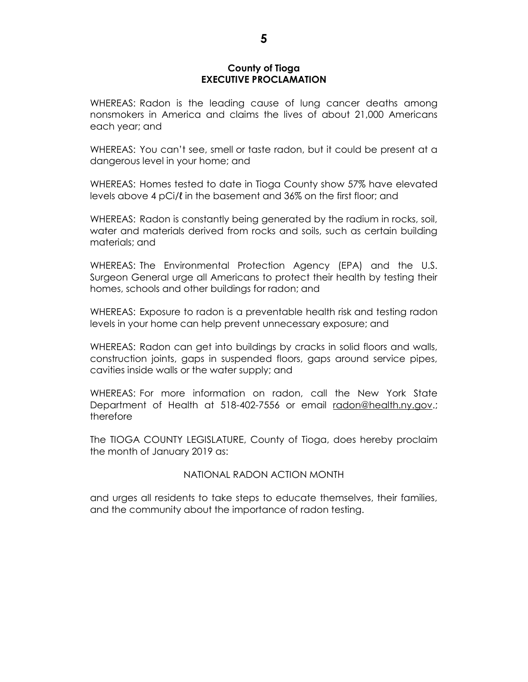#### **County of Tioga EXECUTIVE PROCLAMATION**

WHEREAS: Radon is the leading cause of lung cancer deaths among nonsmokers in America and claims the lives of about 21,000 Americans each year; and

WHEREAS: You can't see, smell or taste radon, but it could be present at a dangerous level in your home; and

WHEREAS: Homes tested to date in Tioga County show 57% have elevated levels above 4 pCi/ℓ in the basement and 36% on the first floor; and

WHEREAS: Radon is constantly being generated by the radium in rocks, soil, water and materials derived from rocks and soils, such as certain building materials; and

WHEREAS: The Environmental Protection Agency (EPA) and the U.S. Surgeon General urge all Americans to protect their health by testing their homes, schools and other buildings for radon; and

WHEREAS: Exposure to radon is a preventable health risk and testing radon levels in your home can help prevent unnecessary exposure; and

WHEREAS: Radon can get into buildings by cracks in solid floors and walls, construction joints, gaps in suspended floors, gaps around service pipes, cavities inside walls or the water supply; and

WHEREAS: For more information on radon, call the New York State Department of Health at 518-402-7556 or email [radon@health.ny.gov.](mailto:radon@health.ny.gov); therefore

The TIOGA COUNTY LEGISLATURE, County of Tioga, does hereby proclaim the month of January 2019 as:

#### NATIONAL RADON ACTION MONTH

and urges all residents to take steps to educate themselves, their families, and the community about the importance of radon testing.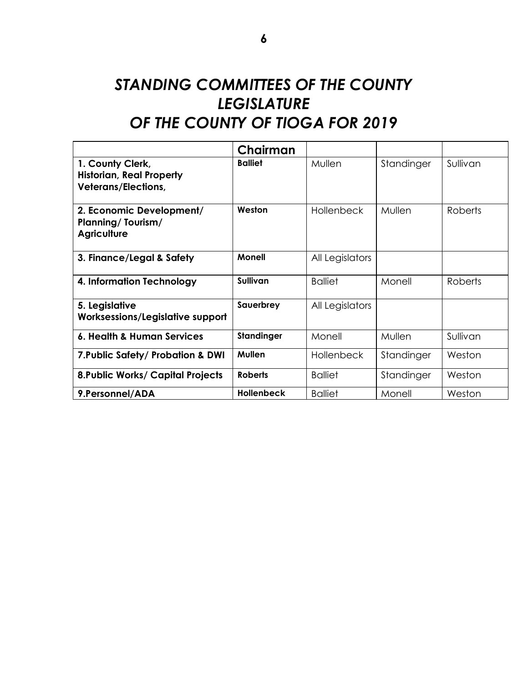# *STANDING COMMITTEES OF THE COUNTY LEGISLATURE OF THE COUNTY OF TIOGA FOR 2019*

|                                                                                   | Chairman          |                   |            |                |
|-----------------------------------------------------------------------------------|-------------------|-------------------|------------|----------------|
| 1. County Clerk,<br><b>Historian, Real Property</b><br><b>Veterans/Elections,</b> | <b>Balliet</b>    | Mullen            | Standinger | Sullivan       |
| 2. Economic Development/<br><b>Planning/Tourism/</b><br><b>Agriculture</b>        | Weston            | <b>Hollenbeck</b> | Mullen     | <b>Roberts</b> |
| 3. Finance/Legal & Safety                                                         | <b>Monell</b>     | All Legislators   |            |                |
| 4. Information Technology                                                         | Sullivan          | <b>Balliet</b>    | Monell     | <b>Roberts</b> |
| 5. Legislative<br>Worksessions/Legislative support                                | Sauerbrey         | All Legislators   |            |                |
| 6. Health & Human Services                                                        | Standinger        | Monell            | Mullen     | Sullivan       |
| 7. Public Safety/ Probation & DWI                                                 | <b>Mullen</b>     | <b>Hollenbeck</b> | Standinger | Weston         |
| <b>8. Public Works/ Capital Projects</b>                                          | <b>Roberts</b>    | <b>Balliet</b>    | Standinger | Weston         |
| 9. Personnel/ADA                                                                  | <b>Hollenbeck</b> | <b>Balliet</b>    | Monell     | Weston         |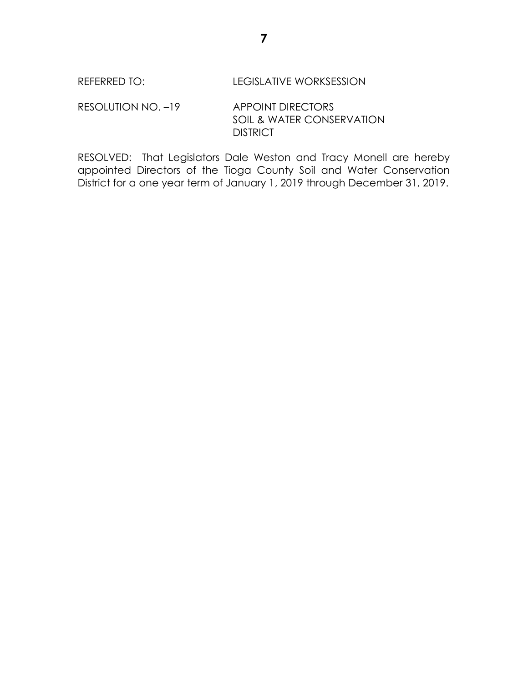RESOLUTION NO. -19 APPOINT DIRECTORS SOIL & WATER CONSERVATION **DISTRICT** 

RESOLVED: That Legislators Dale Weston and Tracy Monell are hereby appointed Directors of the Tioga County Soil and Water Conservation District for a one year term of January 1, 2019 through December 31, 2019.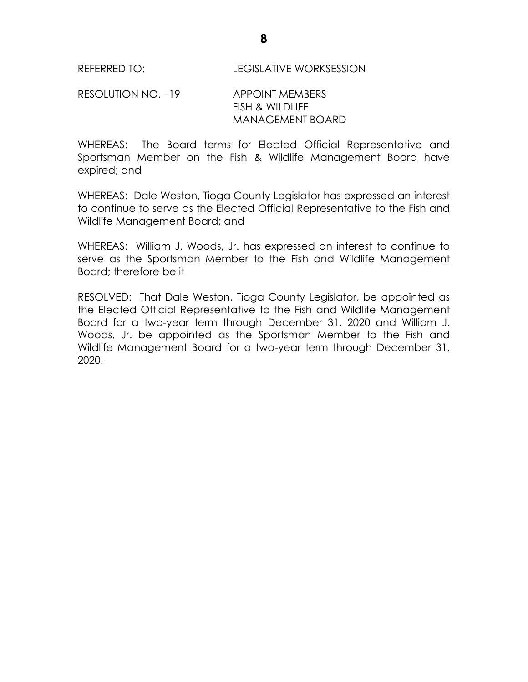RESOLUTION NO. –19 APPOINT MEMBERS FISH & WILDLIFE MANAGEMENT BOARD

WHEREAS: The Board terms for Elected Official Representative and Sportsman Member on the Fish & Wildlife Management Board have expired; and

WHEREAS: Dale Weston, Tioga County Legislator has expressed an interest to continue to serve as the Elected Official Representative to the Fish and Wildlife Management Board; and

WHEREAS: William J. Woods, Jr. has expressed an interest to continue to serve as the Sportsman Member to the Fish and Wildlife Management Board; therefore be it

RESOLVED: That Dale Weston, Tioga County Legislator, be appointed as the Elected Official Representative to the Fish and Wildlife Management Board for a two-year term through December 31, 2020 and William J. Woods, Jr. be appointed as the Sportsman Member to the Fish and Wildlife Management Board for a two-year term through December 31, 2020.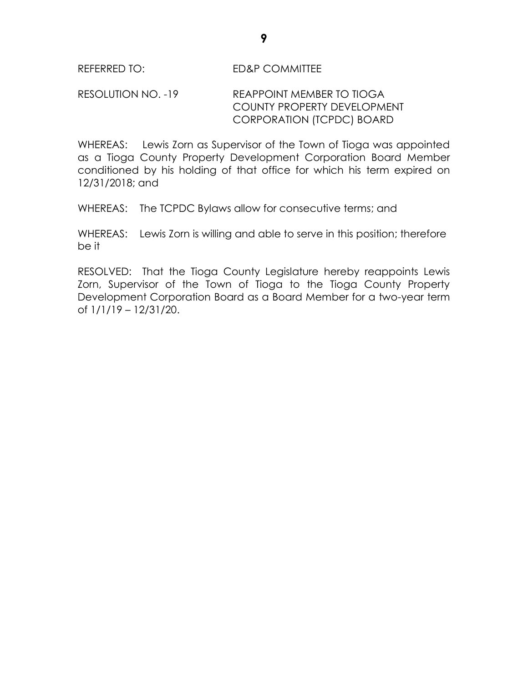## RESOLUTION NO. -19 REAPPOINT MEMBER TO TIOGA COUNTY PROPERTY DEVELOPMENT CORPORATION (TCPDC) BOARD

WHEREAS: Lewis Zorn as Supervisor of the Town of Tioga was appointed as a Tioga County Property Development Corporation Board Member conditioned by his holding of that office for which his term expired on 12/31/2018; and

WHEREAS: The TCPDC Bylaws allow for consecutive terms; and

WHEREAS: Lewis Zorn is willing and able to serve in this position; therefore be it

RESOLVED: That the Tioga County Legislature hereby reappoints Lewis Zorn, Supervisor of the Town of Tioga to the Tioga County Property Development Corporation Board as a Board Member for a two-year term of 1/1/19 – 12/31/20.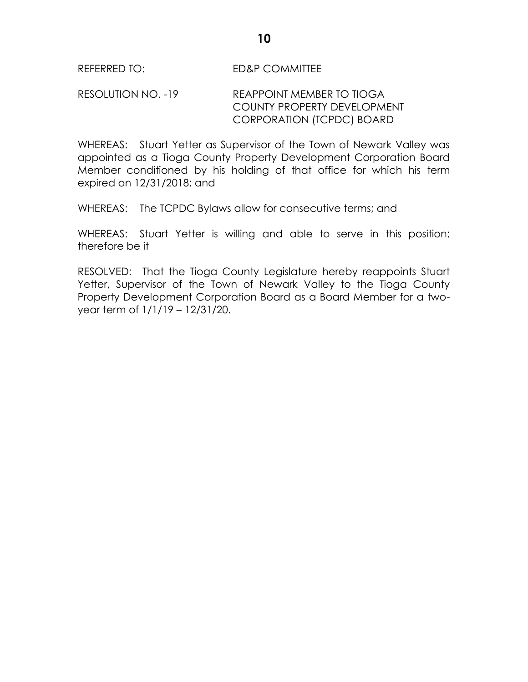## RESOLUTION NO. -19 REAPPOINT MEMBER TO TIOGA COUNTY PROPERTY DEVELOPMENT CORPORATION (TCPDC) BOARD

WHEREAS: Stuart Yetter as Supervisor of the Town of Newark Valley was appointed as a Tioga County Property Development Corporation Board Member conditioned by his holding of that office for which his term expired on 12/31/2018; and

WHEREAS: The TCPDC Bylaws allow for consecutive terms; and

WHEREAS: Stuart Yetter is willing and able to serve in this position; therefore be it

RESOLVED: That the Tioga County Legislature hereby reappoints Stuart Yetter, Supervisor of the Town of Newark Valley to the Tioga County Property Development Corporation Board as a Board Member for a twoyear term of 1/1/19 – 12/31/20.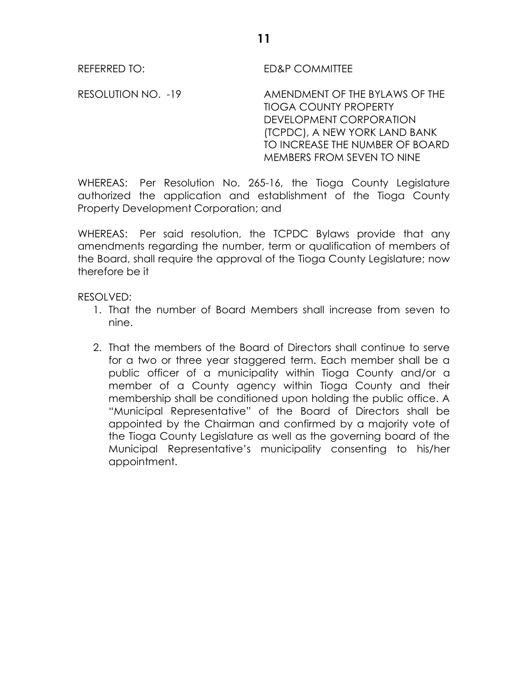REFERRED TO: ED&P COMMITTEE

RESOLUTION NO. -19 AMENDMENT OF THE BYLAWS OF THE TIOGA COUNTY PROPERTY DEVELOPMENT CORPORATION (TCPDC), A NEW YORK LAND BANK TO INCREASE THE NUMBER OF BOARD MEMBERS FROM SEVEN TO NINE

WHEREAS: Per Resolution No. 265-16, the Tioga County Legislature authorized the application and establishment of the Tioga County Property Development Corporation; and

WHEREAS: Per said resolution, the TCPDC Bylaws provide that any amendments regarding the number, term or qualification of members of the Board, shall require the approval of the Tioga County Legislature; now therefore be it

RESOLVED:

- 1. That the number of Board Members shall increase from seven to nine.
- 2. That the members of the Board of Directors shall continue to serve for a two or three year staggered term. Each member shall be a public officer of a municipality within Tioga County and/or a member of a County agency within Tioga County and their membership shall be conditioned upon holding the public office. A "Municipal Representative" of the Board of Directors shall be appointed by the Chairman and confirmed by a majority vote of the Tioga County Legislature as well as the governing board of the Municipal Representative's municipality consenting to his/her appointment.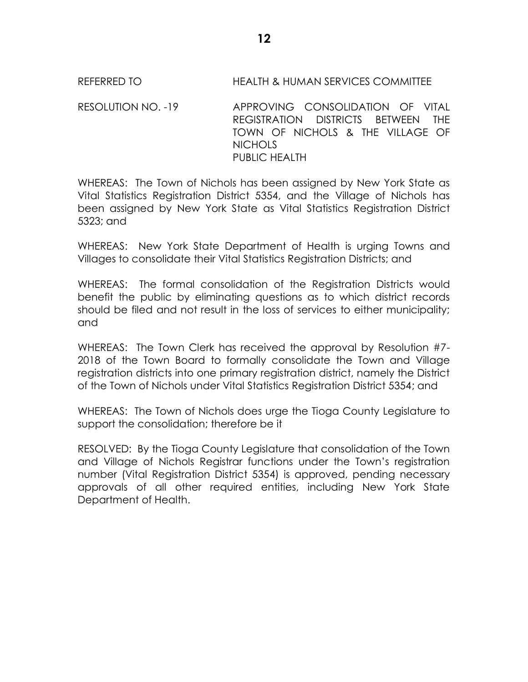## REFERRED TO HEALTH & HUMAN SERVICES COMMITTEE

RESOLUTION NO. -19 APPROVING CONSOLIDATION OF VITAL REGISTRATION DISTRICTS BETWEEN THE TOWN OF NICHOLS & THE VILLAGE OF NICHOLS PUBLIC HEALTH

WHEREAS: The Town of Nichols has been assigned by New York State as Vital Statistics Registration District 5354, and the Village of Nichols has been assigned by New York State as Vital Statistics Registration District 5323; and

WHEREAS: New York State Department of Health is urging Towns and Villages to consolidate their Vital Statistics Registration Districts; and

WHEREAS: The formal consolidation of the Registration Districts would benefit the public by eliminating questions as to which district records should be filed and not result in the loss of services to either municipality; and

WHEREAS: The Town Clerk has received the approval by Resolution #7- 2018 of the Town Board to formally consolidate the Town and Village registration districts into one primary registration district, namely the District of the Town of Nichols under Vital Statistics Registration District 5354; and

WHEREAS: The Town of Nichols does urge the Tioga County Legislature to support the consolidation; therefore be it

RESOLVED: By the Tioga County Legislature that consolidation of the Town and Village of Nichols Registrar functions under the Town's registration number (Vital Registration District 5354) is approved, pending necessary approvals of all other required entities, including New York State Department of Health.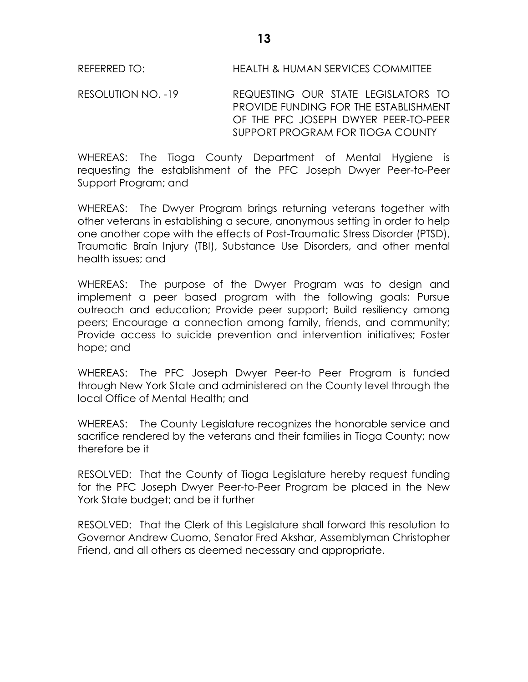REFERRED TO: HEALTH & HUMAN SERVICES COMMITTEE

RESOLUTION NO. -19 REQUESTING OUR STATE LEGISLATORS TO PROVIDE FUNDING FOR THE ESTABLISHMENT OF THE PFC JOSEPH DWYER PEER-TO-PEER SUPPORT PROGRAM FOR TIOGA COUNTY

WHEREAS: The Tioga County Department of Mental Hygiene is requesting the establishment of the PFC Joseph Dwyer Peer-to-Peer Support Program; and

WHEREAS: The Dwyer Program brings returning veterans together with other veterans in establishing a secure, anonymous setting in order to help one another cope with the effects of Post-Traumatic Stress Disorder (PTSD), Traumatic Brain Injury (TBI), Substance Use Disorders, and other mental health issues; and

WHEREAS: The purpose of the Dwyer Program was to design and implement a peer based program with the following goals: Pursue outreach and education; Provide peer support; Build resiliency among peers; Encourage a connection among family, friends, and community; Provide access to suicide prevention and intervention initiatives; Foster hope; and

WHEREAS: The PFC Joseph Dwyer Peer-to Peer Program is funded through New York State and administered on the County level through the local Office of Mental Health; and

WHEREAS: The County Legislature recognizes the honorable service and sacrifice rendered by the veterans and their families in Tioga County; now therefore be it

RESOLVED: That the County of Tioga Legislature hereby request funding for the PFC Joseph Dwyer Peer-to-Peer Program be placed in the New York State budget; and be it further

RESOLVED: That the Clerk of this Legislature shall forward this resolution to Governor Andrew Cuomo, Senator Fred Akshar, Assemblyman Christopher Friend, and all others as deemed necessary and appropriate.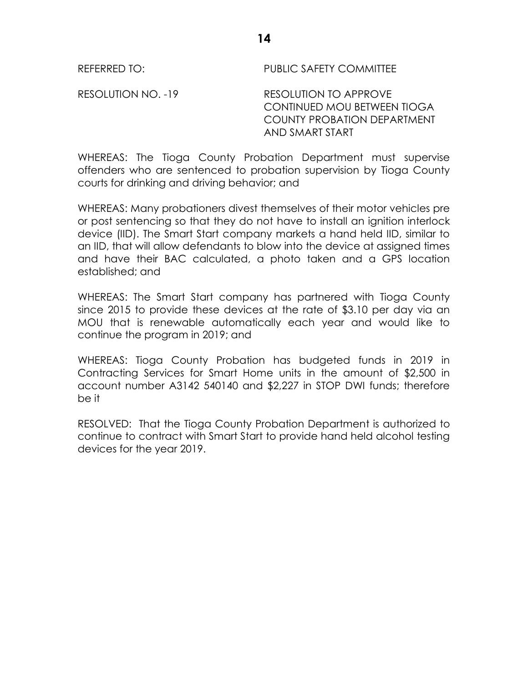REFERRED TO: PUBLIC SAFETY COMMITTEE

RESOLUTION NO. -19 RESOLUTION TO APPROVE CONTINUED MOU BETWEEN TIOGA COUNTY PROBATION DEPARTMENT AND SMART START

WHEREAS: The Tioga County Probation Department must supervise offenders who are sentenced to probation supervision by Tioga County courts for drinking and driving behavior; and

WHEREAS: Many probationers divest themselves of their motor vehicles pre or post sentencing so that they do not have to install an ignition interlock device (IID). The Smart Start company markets a hand held IID, similar to an IID, that will allow defendants to blow into the device at assigned times and have their BAC calculated, a photo taken and a GPS location established; and

WHEREAS: The Smart Start company has partnered with Tioga County since 2015 to provide these devices at the rate of \$3.10 per day via an MOU that is renewable automatically each year and would like to continue the program in 2019; and

WHEREAS: Tioga County Probation has budgeted funds in 2019 in Contracting Services for Smart Home units in the amount of \$2,500 in account number A3142 540140 and \$2,227 in STOP DWI funds; therefore be it

RESOLVED: That the Tioga County Probation Department is authorized to continue to contract with Smart Start to provide hand held alcohol testing devices for the year 2019.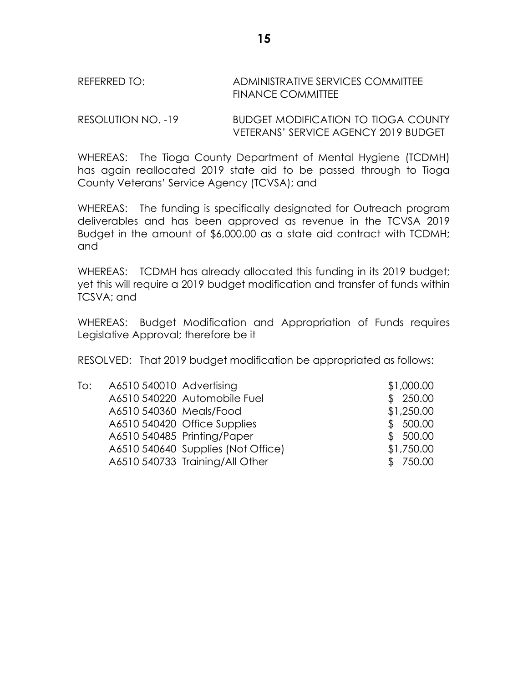# REFERRED TO: ADMINISTRATIVE SERVICES COMMITTEE FINANCE COMMITTEE

RESOLUTION NO. -19 BUDGET MODIFICATION TO TIOGA COUNTY VETERANS' SERVICE AGENCY 2019 BUDGET

WHEREAS: The Tioga County Department of Mental Hygiene (TCDMH) has again reallocated 2019 state aid to be passed through to Tioga County Veterans' Service Agency (TCVSA); and

WHEREAS: The funding is specifically designated for Outreach program deliverables and has been approved as revenue in the TCVSA 2019 Budget in the amount of \$6,000.00 as a state aid contract with TCDMH; and

WHEREAS: TCDMH has already allocated this funding in its 2019 budget; yet this will require a 2019 budget modification and transfer of funds within TCSVA; and

WHEREAS: Budget Modification and Appropriation of Funds requires Legislative Approval; therefore be it

RESOLVED: That 2019 budget modification be appropriated as follows:

| To: | A6510 540010 Advertising |                                    | \$1,000.00 |
|-----|--------------------------|------------------------------------|------------|
|     |                          | A6510 540220 Automobile Fuel       | \$250.00   |
|     | A6510 540360 Meals/Food  |                                    | \$1,250.00 |
|     |                          | A6510 540420 Office Supplies       | \$500.00   |
|     |                          | A6510 540485 Printing/Paper        | \$500.00   |
|     |                          | A6510 540640 Supplies (Not Office) | \$1,750.00 |
|     |                          | A6510 540733 Training/All Other    | \$750.00   |
|     |                          |                                    |            |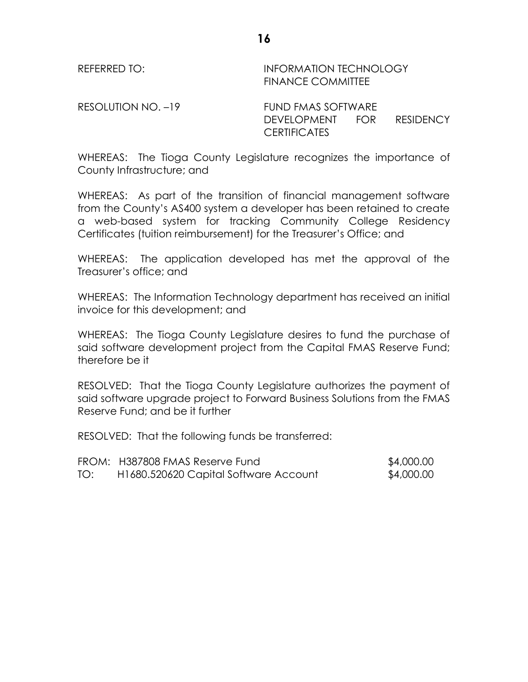REFERRED TO: **INFORMATION TECHNOLOGY** FINANCE COMMITTEE

RESOLUTION NO. –19 FUND FMAS SOFTWARE

DEVELOPMENT FOR RESIDENCY CERTIFICATES

WHEREAS: The Tioga County Legislature recognizes the importance of County Infrastructure; and

WHEREAS: As part of the transition of financial management software from the County's AS400 system a developer has been retained to create a web-based system for tracking Community College Residency Certificates (tuition reimbursement) for the Treasurer's Office; and

WHEREAS: The application developed has met the approval of the Treasurer's office; and

WHEREAS: The Information Technology department has received an initial invoice for this development; and

WHEREAS: The Tioga County Legislature desires to fund the purchase of said software development project from the Capital FMAS Reserve Fund; therefore be it

RESOLVED: That the Tioga County Legislature authorizes the payment of said software upgrade project to Forward Business Solutions from the FMAS Reserve Fund; and be it further

RESOLVED: That the following funds be transferred:

|     | FROM: H387808 FMAS Reserve Fund       | \$4,000.00 |
|-----|---------------------------------------|------------|
| TO: | H1680.520620 Capital Software Account | \$4,000.00 |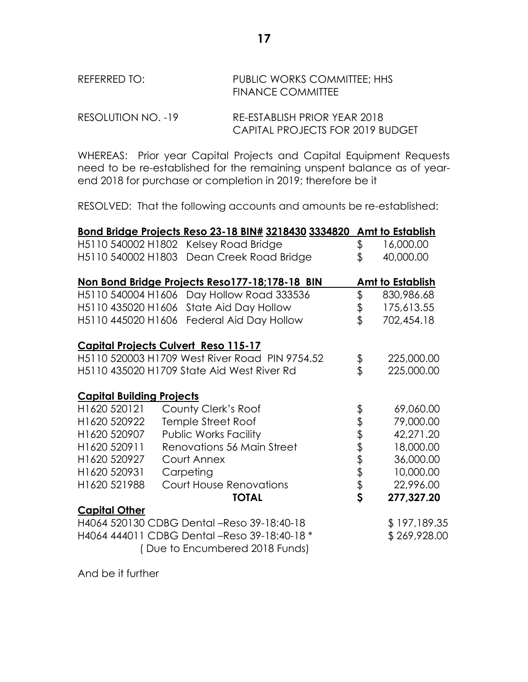# REFERRED TO: PUBLIC WORKS COMMITTEE; HHS FINANCE COMMITTEE

RESOLUTION NO. -19 RE-ESTABLISH PRIOR YEAR 2018 CAPITAL PROJECTS FOR 2019 BUDGET

WHEREAS: Prior year Capital Projects and Capital Equipment Requests need to be re-established for the remaining unspent balance as of yearend 2018 for purchase or completion in 2019; therefore be it

RESOLVED: That the following accounts and amounts be re-established:

|                                  | Bond Bridge Projects Reso 23-18 BIN# 3218430 3334820 |       | Amt to Establish |
|----------------------------------|------------------------------------------------------|-------|------------------|
|                                  | H5110 540002 H1802 Kelsey Road Bridge                | \$    | 16,000.00        |
|                                  | H5110 540002 H1803 Dean Creek Road Bridge            | \$    | 40,000.00        |
|                                  |                                                      |       |                  |
|                                  | Non Bond Bridge Projects Reso177-18;178-18 BIN       |       | Amt to Establish |
|                                  | H5110 540004 H1606 Day Hollow Road 333536            | \$    | 830,986.68       |
| H5110 435020 H1606               | State Aid Day Hollow                                 | \$    | 175,613.55       |
| H5110 445020 H1606               | Federal Aid Day Hollow                               | \$    | 702,454.18       |
|                                  | <b>Capital Projects Culvert Reso 115-17</b>          |       |                  |
|                                  | H5110 520003 H1709 West River Road PIN 9754.52       |       | 225,000.00       |
|                                  | H5110 435020 H1709 State Aid West River Rd           | \$    | 225,000.00       |
|                                  |                                                      |       |                  |
| <b>Capital Building Projects</b> |                                                      |       |                  |
| H1620 520121                     | County Clerk's Roof                                  |       | 69,060.00        |
| H1620 520922                     | Temple Street Roof                                   |       | 79,000.00        |
| H1620 520907                     | <b>Public Works Facility</b>                         |       | 42,271.20        |
| H1620 520911                     | Renovations 56 Main Street                           |       | 18,000.00        |
| H1620 520927                     | Court Annex                                          |       | 36,000.00        |
| H1620 520931                     | Carpeting                                            |       | 10,000.00        |
| H1620 521988                     | <b>Court House Renovations</b>                       | とさまます | 22,996.00        |
|                                  | <b>TOTAL</b>                                         |       | 277,327.20       |
| <b>Capital Other</b>             |                                                      |       |                  |
|                                  | H4064 520130 CDBG Dental -Reso 39-18:40-18           |       | \$197,189.35     |
|                                  | H4064 444011 CDBG Dental -Reso 39-18:40-18 *         |       | \$269,928.00     |
|                                  | (Due to Encumbered 2018 Funds)                       |       |                  |

And be it further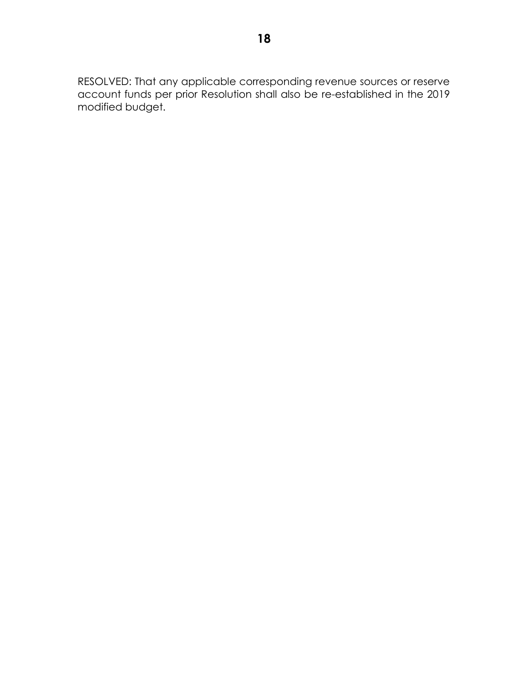RESOLVED: That any applicable corresponding revenue sources or reserve account funds per prior Resolution shall also be re-established in the 2019 modified budget.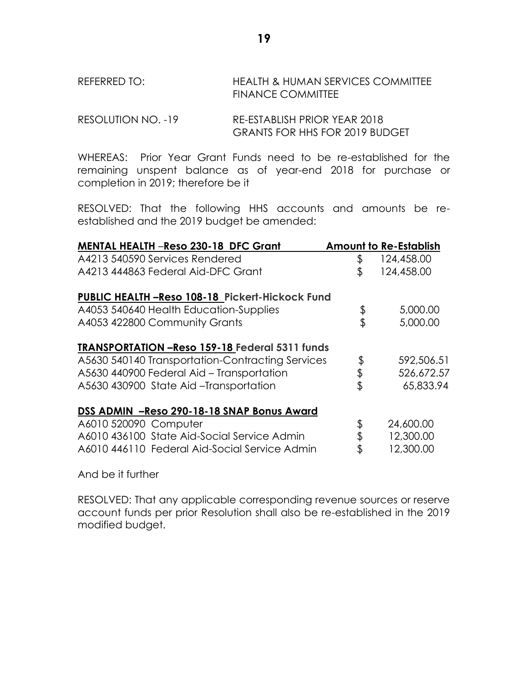REFERRED TO: HEALTH & HUMAN SERVICES COMMITTEE FINANCE COMMITTEE

```
RESOLUTION NO. -19 RE-ESTABLISH PRIOR YEAR 2018
            GRANTS FOR HHS FOR 2019 BUDGET
```
WHEREAS: Prior Year Grant Funds need to be re-established for the remaining unspent balance as of year-end 2018 for purchase or completion in 2019; therefore be it

RESOLVED: That the following HHS accounts and amounts be reestablished and the 2019 budget be amended:

| <b>MENTAL HEALTH -Reso 230-18 DFC Grant</b>           | <b>Amount to Re-Establish</b> |
|-------------------------------------------------------|-------------------------------|
| A4213 540590 Services Rendered                        | \$<br>124,458.00              |
| A4213 444863 Federal Aid-DFC Grant                    | \$<br>124,458.00              |
| PUBLIC HEALTH -Reso 108-18 Pickert-Hickock Fund       |                               |
| A4053 540640 Health Education-Supplies                | \$<br>5,000.00                |
| A4053 422800 Community Grants                         | \$<br>5,000.00                |
| <b>TRANSPORTATION -Reso 159-18 Federal 5311 funds</b> |                               |
| A5630 540140 Transportation-Contracting Services      | \$<br>592,506.51              |
| A5630 440900 Federal Aid - Transportation             | \$<br>526,672.57              |
| A5630 430900 State Aid-Transportation                 | \$<br>65,833.94               |
| DSS ADMIN - Reso 290-18-18 SNAP Bonus Award           |                               |
| A6010 520090 Computer                                 | \$<br>24,600.00               |
| A6010 436100 State Aid-Social Service Admin           | \$<br>12,300.00               |
| A6010 446110 Federal Aid-Social Service Admin         | \$<br>12,300.00               |

And be it further

RESOLVED: That any applicable corresponding revenue sources or reserve account funds per prior Resolution shall also be re-established in the 2019 modified budget.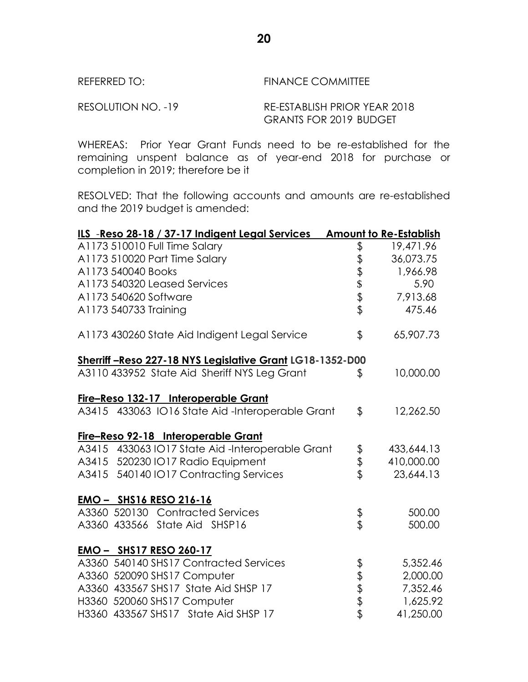| REFERRED TO: |  |
|--------------|--|
|--------------|--|

# **FINANCE COMMITTEE**

RESOLUTION NO. -19 RE-ESTABLISH PRIOR YEAR 2018 GRANTS FOR 2019 BUDGET

WHEREAS: Prior Year Grant Funds need to be re-established for the remaining unspent balance as of year-end 2018 for purchase or completion in 2019; therefore be it

RESOLVED: That the following accounts and amounts are re-established and the 2019 budget is amended:

| ILS -Reso 28-18 / 37-17 Indigent Legal Services Amount to Re-Establish |               |            |
|------------------------------------------------------------------------|---------------|------------|
| A1173 510010 Full Time Salary                                          | \$            | 19,471.96  |
| A1173 510020 Part Time Salary                                          |               | 36,073.75  |
| A1173 540040 Books                                                     |               | 1,966.98   |
| A1173 540320 Leased Services                                           | むすきます         | 5.90       |
| A1173 540620 Software                                                  |               | 7,913.68   |
| A1173 540733 Training                                                  |               | 475.46     |
| A1173 430260 State Aid Indigent Legal Service                          | \$            | 65,907.73  |
| Sherriff-Reso 227-18 NYS Legislative Grant LG18-1352-D00               |               |            |
| A3110 433952 State Aid Sheriff NYS Leg Grant                           | \$            | 10,000.00  |
| Fire-Reso 132-17 Interoperable Grant                                   |               |            |
| A3415 433063 IO16 State Aid-Interoperable Grant                        | $\frac{1}{2}$ | 12,262.50  |
| Fire-Reso 92-18 Interoperable Grant                                    |               |            |
| A3415 433063 IO17 State Aid-Interoperable Grant                        |               | 433,644.13 |
| A3415 520230 IO17 Radio Equipment                                      | \$<br>\$      | 410,000.00 |
| A3415 540140 IO17 Contracting Services                                 |               | 23,644.13  |
| EMO - SHS16 RESO 216-16                                                |               |            |
| A3360 520130 Contracted Services                                       | \$<br>\$      | 500.00     |
| A3360 433566 State Aid SHSP16                                          |               | 500.00     |
| EMO - SHS17 RESO 260-17                                                |               |            |
| A3360 540140 SHS17 Contracted Services                                 |               | 5,352.46   |
| A3360 520090 SHS17 Computer                                            | もままま          | 2,000.00   |
| A3360 433567 SHS17 State Aid SHSP 17                                   |               | 7,352.46   |
| H3360 520060 SHS17 Computer                                            |               | 1,625.92   |
| H3360 433567 SHS17 State Aid SHSP 17                                   |               | 41,250.00  |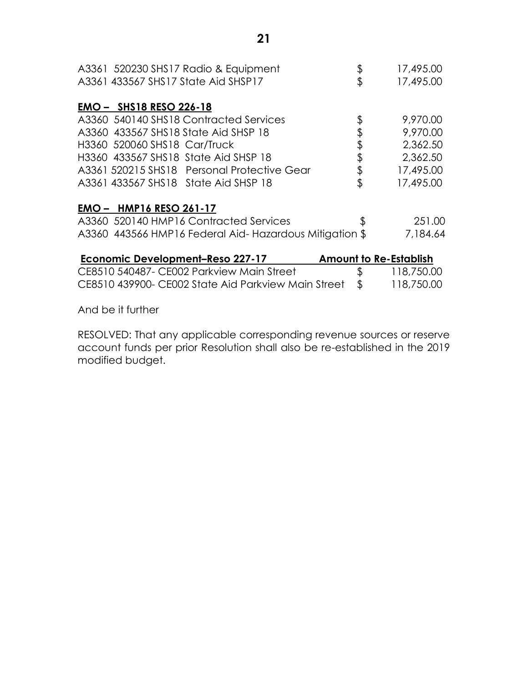| A3361 520230 SHS17 Radio & Equipment<br>A3361 433567 SHS17 State Aid SHSP17 | \$<br>\$                      | 17,495.00<br>17,495.00 |
|-----------------------------------------------------------------------------|-------------------------------|------------------------|
| <b>EMO - SHS18 RESO 226-18</b>                                              |                               |                        |
| A3360 540140 SHS18 Contracted Services                                      | \$                            | 9,970.00               |
| A3360 433567 SHS18 State Aid SHSP 18                                        | \$                            | 9,970.00               |
| H3360 520060 SHS18 Car/Truck                                                | \$                            | 2,362.50               |
| H3360 433567 SHS18 State Aid SHSP 18                                        | \$                            | 2,362.50               |
| A3361 520215 SHS18 Personal Protective Gear                                 | \$                            | 17,495.00              |
| A3361 433567 SHS18 State Aid SHSP 18                                        | \$                            | 17,495.00              |
| <b>EMO - HMP16 RESO 261-17</b>                                              |                               |                        |
| A3360 520140 HMP16 Contracted Services                                      | \$                            | 251.00                 |
| A3360 443566 HMP16 Federal Aid-Hazardous Mitigation \$                      |                               | 7,184.64               |
| Economic Development-Reso 227-17                                            | <b>Amount to Re-Establish</b> |                        |
| CE8510 540487- CE002 Parkview Main Street                                   | \$                            | 118,750.00             |
| CE8510 439900- CE002 State Aid Parkview Main Street                         | \$                            | 118,750.00             |
|                                                                             |                               |                        |

And be it further

RESOLVED: That any applicable corresponding revenue sources or reserve account funds per prior Resolution shall also be re-established in the 2019 modified budget.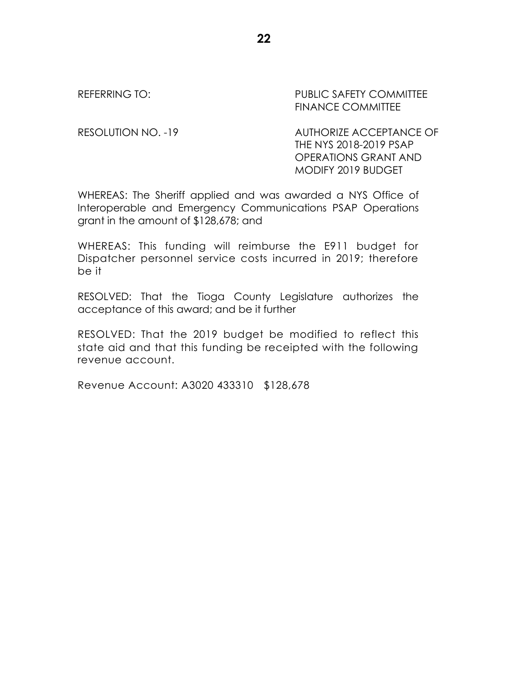REFERRING TO: PUBLIC SAFETY COMMITTEE FINANCE COMMITTEE

RESOLUTION NO. -19 AUTHORIZE ACCEPTANCE OF THE NYS 2018-2019 PSAP OPERATIONS GRANT AND MODIFY 2019 BUDGET

WHEREAS: The Sheriff applied and was awarded a NYS Office of Interoperable and Emergency Communications PSAP Operations grant in the amount of \$128,678; and

WHEREAS: This funding will reimburse the E911 budget for Dispatcher personnel service costs incurred in 2019; therefore be it

RESOLVED: That the Tioga County Legislature authorizes the acceptance of this award; and be it further

RESOLVED: That the 2019 budget be modified to reflect this state aid and that this funding be receipted with the following revenue account.

Revenue Account: A3020 433310 \$128,678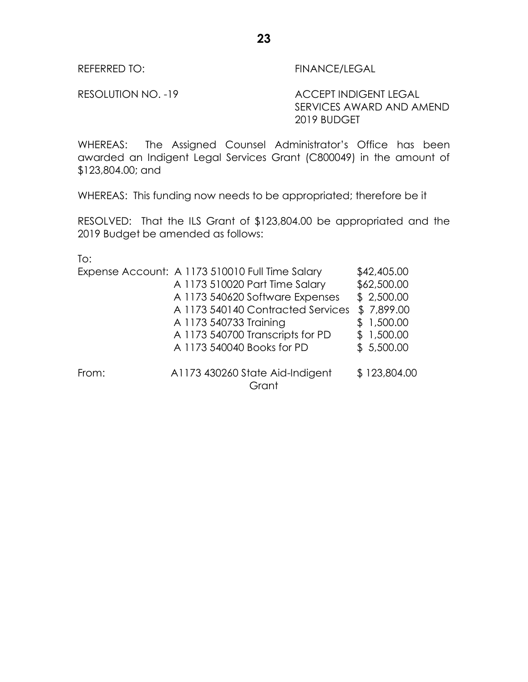REFERRED TO: FINANCE/LEGAL

RESOLUTION NO. -19 ACCEPT INDIGENT LEGAL SERVICES AWARD AND AMEND 2019 BUDGET

WHEREAS: The Assigned Counsel Administrator's Office has been awarded an Indigent Legal Services Grant (C800049) in the amount of \$123,804.00; and

WHEREAS: This funding now needs to be appropriated; therefore be it

RESOLVED: That the ILS Grant of \$123,804.00 be appropriated and the 2019 Budget be amended as follows:

To:

| A 1173 510020 Part Time Salary    | \$62,500.00                                                                                                                 |
|-----------------------------------|-----------------------------------------------------------------------------------------------------------------------------|
| A 1173 540620 Software Expenses   | \$2,500.00                                                                                                                  |
| A 1173 540140 Contracted Services | \$7,899.00                                                                                                                  |
|                                   | \$1,500.00                                                                                                                  |
|                                   | \$1,500.00                                                                                                                  |
|                                   | \$5,500.00                                                                                                                  |
|                                   | \$123,804.00                                                                                                                |
|                                   | A 1173 540733 Training<br>A 1173 540700 Transcripts for PD<br>A 1173 540040 Books for PD<br>A1173 430260 State Aid-Indigent |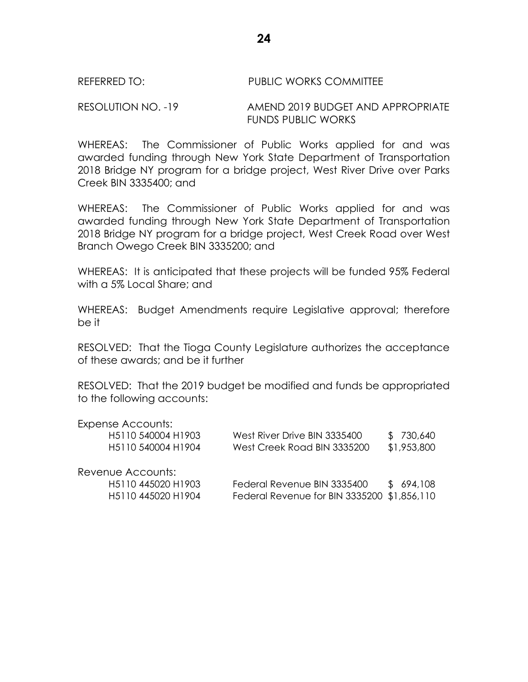### REFERRED TO: PUBLIC WORKS COMMITTEE

RESOLUTION NO. -19 AMEND 2019 BUDGET AND APPROPRIATE FUNDS PUBLIC WORKS

WHEREAS: The Commissioner of Public Works applied for and was awarded funding through New York State Department of Transportation 2018 Bridge NY program for a bridge project, West River Drive over Parks Creek BIN 3335400; and

WHEREAS: The Commissioner of Public Works applied for and was awarded funding through New York State Department of Transportation 2018 Bridge NY program for a bridge project, West Creek Road over West Branch Owego Creek BIN 3335200; and

WHEREAS: It is anticipated that these projects will be funded 95% Federal with a 5% Local Share; and

WHEREAS: Budget Amendments require Legislative approval; therefore be it

RESOLVED: That the Tioga County Legislature authorizes the acceptance of these awards; and be it further

RESOLVED: That the 2019 budget be modified and funds be appropriated to the following accounts:

| Expense Accounts:  |                                             |             |
|--------------------|---------------------------------------------|-------------|
| H5110 540004 H1903 | West River Drive BIN 3335400                | \$730,640   |
| H5110 540004 H1904 | West Creek Road BIN 3335200                 | \$1,953,800 |
| Revenue Accounts:  |                                             |             |
| H5110 445020 H1903 | Federal Revenue BIN 3335400                 | \$694,108   |
| H5110 445020 H1904 | Federal Revenue for BIN 3335200 \$1,856,110 |             |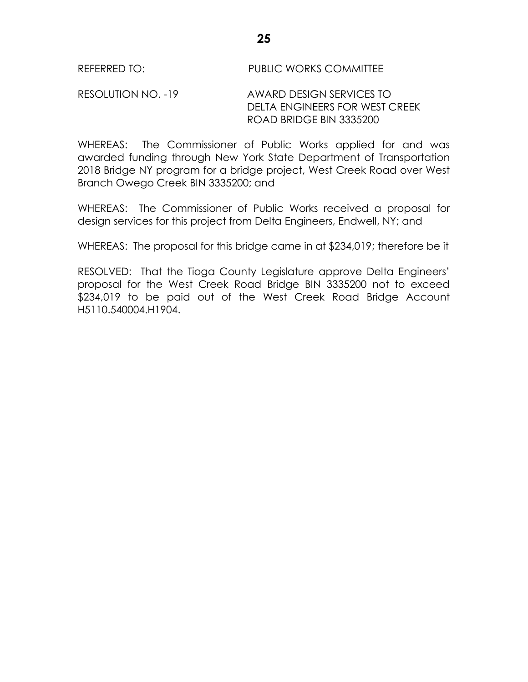RESOLUTION NO. -19 AWARD DESIGN SERVICES TO DELTA ENGINEERS FOR WEST CREEK ROAD BRIDGE BIN 3335200

WHEREAS: The Commissioner of Public Works applied for and was awarded funding through New York State Department of Transportation 2018 Bridge NY program for a bridge project, West Creek Road over West Branch Owego Creek BIN 3335200; and

WHEREAS: The Commissioner of Public Works received a proposal for design services for this project from Delta Engineers, Endwell, NY; and

WHEREAS: The proposal for this bridge came in at \$234,019; therefore be it

RESOLVED: That the Tioga County Legislature approve Delta Engineers' proposal for the West Creek Road Bridge BIN 3335200 not to exceed \$234,019 to be paid out of the West Creek Road Bridge Account H5110.540004.H1904.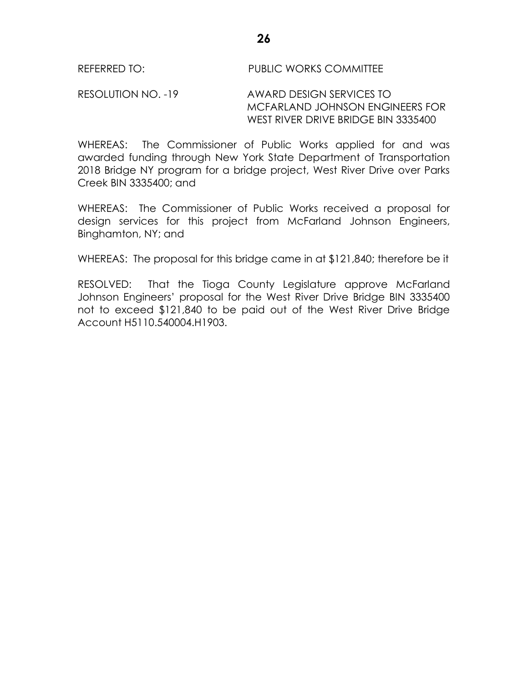### REFERRED TO: PUBLIC WORKS COMMITTEE

RESOLUTION NO. -19 AWARD DESIGN SERVICES TO MCFARLAND JOHNSON ENGINEERS FOR WEST RIVER DRIVE BRIDGE BIN 3335400

WHEREAS: The Commissioner of Public Works applied for and was awarded funding through New York State Department of Transportation 2018 Bridge NY program for a bridge project, West River Drive over Parks Creek BIN 3335400; and

WHEREAS: The Commissioner of Public Works received a proposal for design services for this project from McFarland Johnson Engineers, Binghamton, NY; and

WHEREAS: The proposal for this bridge came in at \$121,840; therefore be it

RESOLVED: That the Tioga County Legislature approve McFarland Johnson Engineers' proposal for the West River Drive Bridge BIN 3335400 not to exceed \$121,840 to be paid out of the West River Drive Bridge Account H5110.540004.H1903.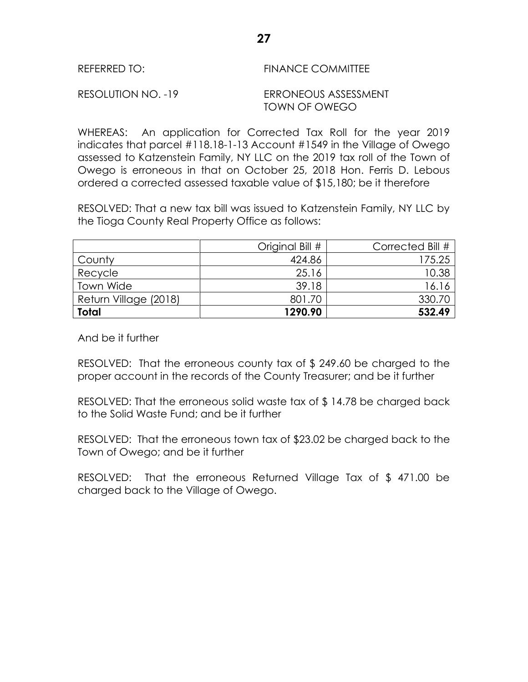| REFERRED TO:       | <b>FINANCE COMMITTEE</b>              |
|--------------------|---------------------------------------|
| RESOLUTION NO. -19 | ERRONEOUS ASSESSMENT<br>TOWN OF OWEGO |

WHEREAS: An application for Corrected Tax Roll for the year 2019 indicates that parcel #118.18-1-13 Account #1549 in the Village of Owego assessed to Katzenstein Family, NY LLC on the 2019 tax roll of the Town of Owego is erroneous in that on October 25, 2018 Hon. Ferris D. Lebous ordered a corrected assessed taxable value of \$15,180; be it therefore

RESOLVED: That a new tax bill was issued to Katzenstein Family, NY LLC by the Tioga County Real Property Office as follows:

|                       | Original Bill # | Corrected Bill # |
|-----------------------|-----------------|------------------|
| County                | 424.86          | 175.25           |
| Recycle               | 25.16           | 10.38            |
| <b>Town Wide</b>      | 39.18           | 16.16            |
| Return Village (2018) | 801.70          | 330.70           |
| <b>Total</b>          | 1290.90         | 532.49           |

And be it further

RESOLVED: That the erroneous county tax of \$ 249.60 be charged to the proper account in the records of the County Treasurer; and be it further

RESOLVED: That the erroneous solid waste tax of \$ 14.78 be charged back to the Solid Waste Fund; and be it further

RESOLVED: That the erroneous town tax of \$23.02 be charged back to the Town of Owego; and be it further

RESOLVED: That the erroneous Returned Village Tax of \$ 471.00 be charged back to the Village of Owego.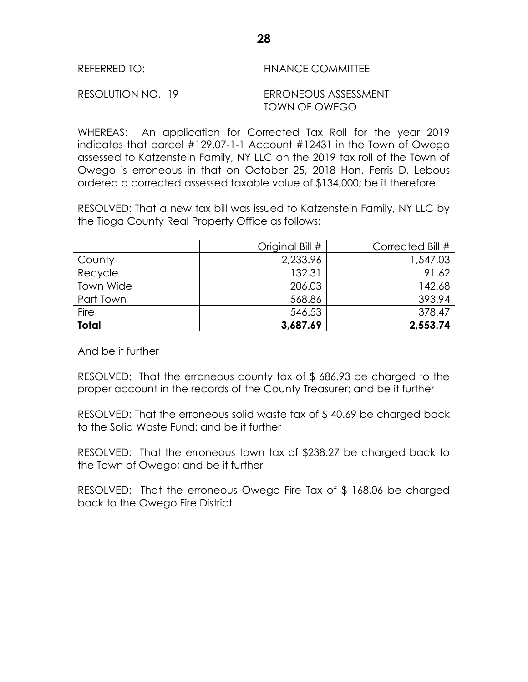| REFERRED TO:       | FINANCE COMMITTEE                     |
|--------------------|---------------------------------------|
| RESOLUTION NO. -19 | ERRONEOUS ASSESSMENT<br>TOWN OF OWEGO |

WHEREAS: An application for Corrected Tax Roll for the year 2019 indicates that parcel #129.07-1-1 Account #12431 in the Town of Owego assessed to Katzenstein Family, NY LLC on the 2019 tax roll of the Town of Owego is erroneous in that on October 25, 2018 Hon. Ferris D. Lebous ordered a corrected assessed taxable value of \$134,000; be it therefore

RESOLVED: That a new tax bill was issued to Katzenstein Family, NY LLC by the Tioga County Real Property Office as follows:

|              | Original Bill # | Corrected Bill # |
|--------------|-----------------|------------------|
| County       | 2,233.96        | 1,547.03         |
| Recycle      | 132.31          | 91.62            |
| Town Wide    | 206.03          | 142.68           |
| Part Town    | 568.86          | 393.94           |
| <b>Fire</b>  | 546.53          | 378.47           |
| <b>Total</b> | 3,687.69        | 2,553.74         |

And be it further

RESOLVED: That the erroneous county tax of \$ 686.93 be charged to the proper account in the records of the County Treasurer; and be it further

RESOLVED: That the erroneous solid waste tax of \$ 40.69 be charged back to the Solid Waste Fund; and be it further

RESOLVED: That the erroneous town tax of \$238.27 be charged back to the Town of Owego; and be it further

RESOLVED: That the erroneous Owego Fire Tax of \$ 168.06 be charged back to the Owego Fire District.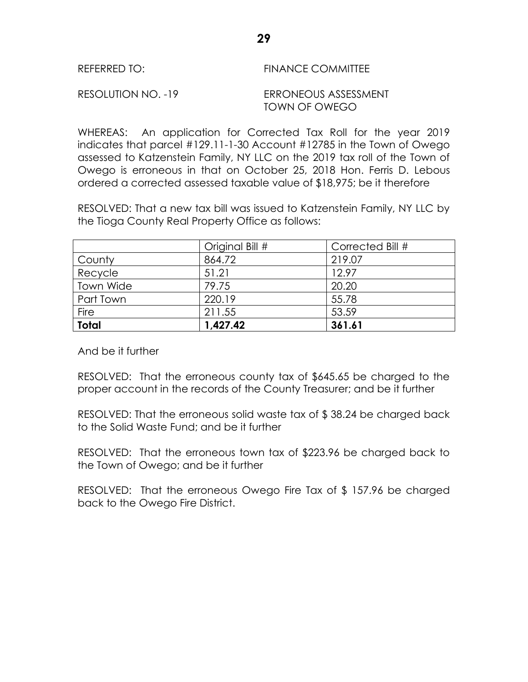| REFERRED TO: |  |  |  | <b>FINANCE COMMITTEE</b> |  |  |  |
|--------------|--|--|--|--------------------------|--|--|--|
|              |  |  |  |                          |  |  |  |

RESOLUTION NO. -19 ERRONEOUS ASSESSMENT

TOWN OF OWEGO

WHEREAS: An application for Corrected Tax Roll for the year 2019 indicates that parcel #129.11-1-30 Account #12785 in the Town of Owego assessed to Katzenstein Family, NY LLC on the 2019 tax roll of the Town of Owego is erroneous in that on October 25, 2018 Hon. Ferris D. Lebous ordered a corrected assessed taxable value of \$18,975; be it therefore

RESOLVED: That a new tax bill was issued to Katzenstein Family, NY LLC by the Tioga County Real Property Office as follows:

|                  | Original Bill # | Corrected Bill # |
|------------------|-----------------|------------------|
| County           | 864.72          | 219.07           |
| Recycle          | 51.21           | 12.97            |
| <b>Town Wide</b> | 79.75           | 20.20            |
| Part Town        | 220.19          | 55.78            |
| Fire             | 211.55          | 53.59            |
| <b>Total</b>     | 1,427.42        | 361.61           |

And be it further

RESOLVED: That the erroneous county tax of \$645.65 be charged to the proper account in the records of the County Treasurer; and be it further

RESOLVED: That the erroneous solid waste tax of \$ 38.24 be charged back to the Solid Waste Fund; and be it further

RESOLVED: That the erroneous town tax of \$223.96 be charged back to the Town of Owego; and be it further

RESOLVED: That the erroneous Owego Fire Tax of \$ 157.96 be charged back to the Owego Fire District.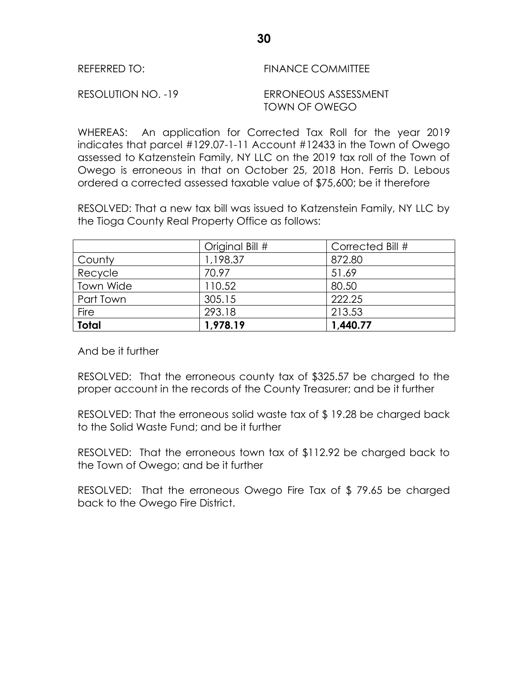| REFERRED TO: | <b>FINANCE COMMITTEE</b> |
|--------------|--------------------------|
|              |                          |

RESOLUTION NO. -19 ERRONEOUS ASSESSMENT TOWN OF OWEGO

WHEREAS: An application for Corrected Tax Roll for the year 2019 indicates that parcel #129.07-1-11 Account #12433 in the Town of Owego assessed to Katzenstein Family, NY LLC on the 2019 tax roll of the Town of Owego is erroneous in that on October 25, 2018 Hon. Ferris D. Lebous ordered a corrected assessed taxable value of \$75,600; be it therefore

RESOLVED: That a new tax bill was issued to Katzenstein Family, NY LLC by the Tioga County Real Property Office as follows:

|                  | Original Bill # | Corrected Bill # |
|------------------|-----------------|------------------|
| County           | 1,198.37        | 872.80           |
| Recycle          | 70.97           | 51.69            |
| <b>Town Wide</b> | 110.52          | 80.50            |
| Part Town        | 305.15          | 222.25           |
| Fire             | 293.18          | 213.53           |
| <b>Total</b>     | 1,978.19        | 1,440.77         |

And be it further

RESOLVED: That the erroneous county tax of \$325.57 be charged to the proper account in the records of the County Treasurer; and be it further

RESOLVED: That the erroneous solid waste tax of \$ 19.28 be charged back to the Solid Waste Fund; and be it further

RESOLVED: That the erroneous town tax of \$112.92 be charged back to the Town of Owego; and be it further

RESOLVED: That the erroneous Owego Fire Tax of \$ 79.65 be charged back to the Owego Fire District.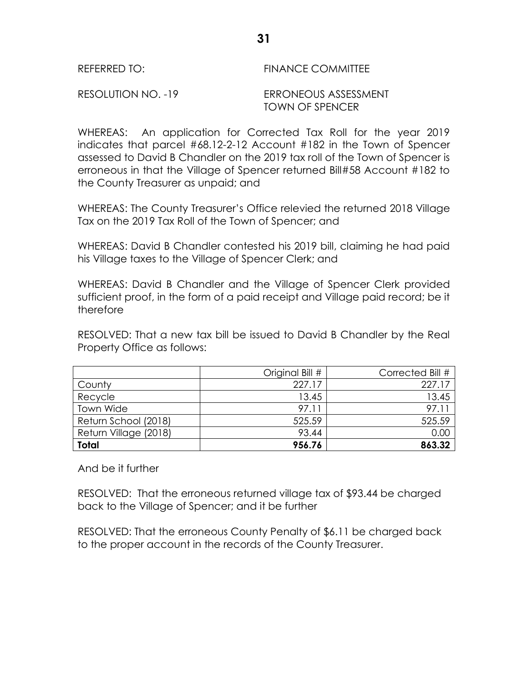RESOLUTION NO. -19 ERRONEOUS ASSESSMENT TOWN OF SPENCER

WHEREAS: An application for Corrected Tax Roll for the year 2019 indicates that parcel #68.12-2-12 Account #182 in the Town of Spencer assessed to David B Chandler on the 2019 tax roll of the Town of Spencer is erroneous in that the Village of Spencer returned Bill#58 Account #182 to the County Treasurer as unpaid; and

WHEREAS: The County Treasurer's Office relevied the returned 2018 Village Tax on the 2019 Tax Roll of the Town of Spencer; and

WHEREAS: David B Chandler contested his 2019 bill, claiming he had paid his Village taxes to the Village of Spencer Clerk; and

WHEREAS: David B Chandler and the Village of Spencer Clerk provided sufficient proof, in the form of a paid receipt and Village paid record; be it therefore

RESOLVED: That a new tax bill be issued to David B Chandler by the Real Property Office as follows:

|                       | Original Bill # | Corrected Bill # |
|-----------------------|-----------------|------------------|
| County                | 227.17          | 227.17           |
| Recycle               | 13.45           | 13.45            |
| Town Wide             | 97.11           | 97.11            |
| Return School (2018)  | 525.59          | 525.59           |
| Return Village (2018) | 93.44           | 0.00             |
| <b>Total</b>          | 956.76          | 863.32           |

And be it further

RESOLVED: That the erroneous returned village tax of \$93.44 be charged back to the Village of Spencer; and it be further

RESOLVED: That the erroneous County Penalty of \$6.11 be charged back to the proper account in the records of the County Treasurer.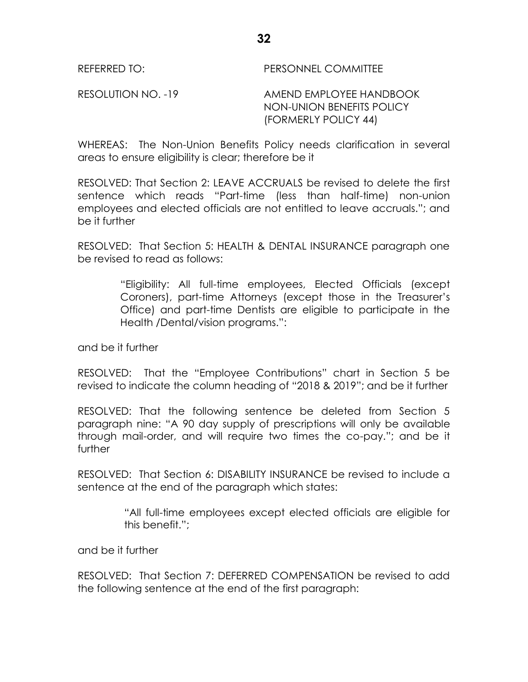REFERRED TO: PERSONNEL COMMITTEE

RESOLUTION NO. -19 AMEND EMPLOYEE HANDBOOK NON-UNION BENEFITS POLICY (FORMERLY POLICY 44)

WHEREAS: The Non-Union Benefits Policy needs clarification in several areas to ensure eligibility is clear; therefore be it

RESOLVED: That Section 2: LEAVE ACCRUALS be revised to delete the first sentence which reads "Part-time (less than half-time) non-union employees and elected officials are not entitled to leave accruals."; and be it further

RESOLVED: That Section 5: HEALTH & DENTAL INSURANCE paragraph one be revised to read as follows:

> "Eligibility: All full-time employees, Elected Officials (except Coroners), part-time Attorneys (except those in the Treasurer's Office) and part-time Dentists are eligible to participate in the Health /Dental/vision programs.":

and be it further

RESOLVED: That the "Employee Contributions" chart in Section 5 be revised to indicate the column heading of "2018 & 2019"; and be it further

RESOLVED: That the following sentence be deleted from Section 5 paragraph nine: "A 90 day supply of prescriptions will only be available through mail-order, and will require two times the co-pay."; and be it further

RESOLVED: That Section 6: DISABILITY INSURANCE be revised to include a sentence at the end of the paragraph which states:

> "All full-time employees except elected officials are eligible for this benefit.";

and be it further

RESOLVED: That Section 7: DEFERRED COMPENSATION be revised to add the following sentence at the end of the first paragraph: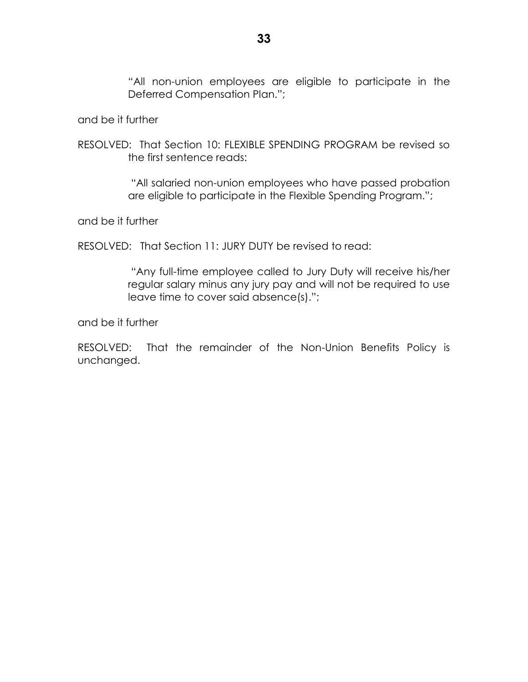"All non-union employees are eligible to participate in the Deferred Compensation Plan.";

and be it further

RESOLVED: That Section 10: FLEXIBLE SPENDING PROGRAM be revised so the first sentence reads:

> "All salaried non-union employees who have passed probation are eligible to participate in the Flexible Spending Program.";

and be it further

RESOLVED: That Section 11: JURY DUTY be revised to read:

"Any full-time employee called to Jury Duty will receive his/her regular salary minus any jury pay and will not be required to use leave time to cover said absence(s).";

and be it further

RESOLVED: That the remainder of the Non-Union Benefits Policy is unchanged.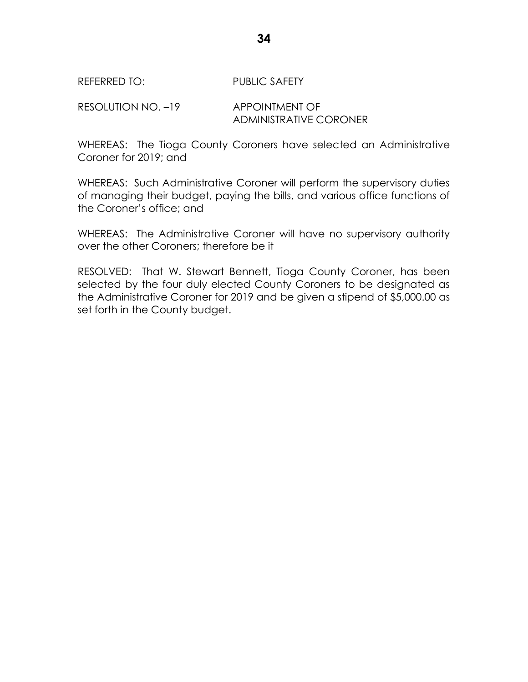## REFERRED TO: PUBLIC SAFETY

RESOLUTION NO. -19 APPOINTMENT OF ADMINISTRATIVE CORONER

WHEREAS: The Tioga County Coroners have selected an Administrative Coroner for 2019; and

WHEREAS: Such Administrative Coroner will perform the supervisory duties of managing their budget, paying the bills, and various office functions of the Coroner's office; and

WHEREAS: The Administrative Coroner will have no supervisory authority over the other Coroners; therefore be it

RESOLVED: That W. Stewart Bennett, Tioga County Coroner, has been selected by the four duly elected County Coroners to be designated as the Administrative Coroner for 2019 and be given a stipend of \$5,000.00 as set forth in the County budget.